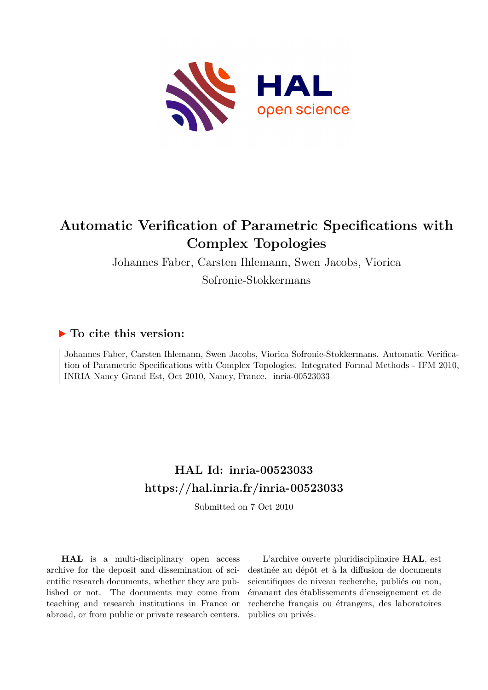

# **Automatic Verification of Parametric Specifications with Complex Topologies**

Johannes Faber, Carsten Ihlemann, Swen Jacobs, Viorica

Sofronie-Stokkermans

# **To cite this version:**

Johannes Faber, Carsten Ihlemann, Swen Jacobs, Viorica Sofronie-Stokkermans. Automatic Verification of Parametric Specifications with Complex Topologies. Integrated Formal Methods - IFM 2010, INRIA Nancy Grand Est, Oct 2010, Nancy, France. inria-00523033

# **HAL Id: inria-00523033 <https://hal.inria.fr/inria-00523033>**

Submitted on 7 Oct 2010

**HAL** is a multi-disciplinary open access archive for the deposit and dissemination of scientific research documents, whether they are published or not. The documents may come from teaching and research institutions in France or abroad, or from public or private research centers.

L'archive ouverte pluridisciplinaire **HAL**, est destinée au dépôt et à la diffusion de documents scientifiques de niveau recherche, publiés ou non, émanant des établissements d'enseignement et de recherche français ou étrangers, des laboratoires publics ou privés.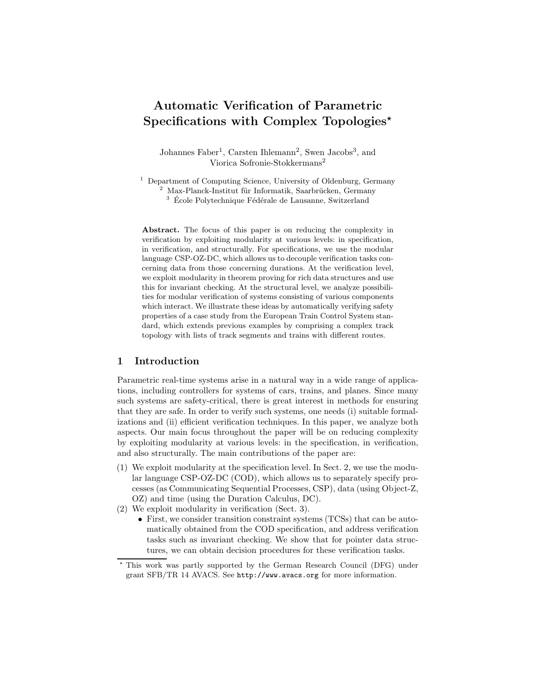# Automatic Verification of Parametric Specifications with Complex Topologies<sup>\*</sup>

Johannes Faber<sup>1</sup>, Carsten Ihlemann<sup>2</sup>, Swen Jacobs<sup>3</sup>, and Viorica Sofronie-Stokkermans<sup>2</sup>

<sup>1</sup> Department of Computing Science, University of Oldenburg, Germany Max-Planck-Institut für Informatik, Saarbrücken, Germany  $^3$ École Polytechnique Fédérale de Lausanne, Switzerland

Abstract. The focus of this paper is on reducing the complexity in verification by exploiting modularity at various levels: in specification, in verification, and structurally. For specifications, we use the modular language CSP-OZ-DC, which allows us to decouple verification tasks concerning data from those concerning durations. At the verification level, we exploit modularity in theorem proving for rich data structures and use this for invariant checking. At the structural level, we analyze possibilities for modular verification of systems consisting of various components which interact. We illustrate these ideas by automatically verifying safety properties of a case study from the European Train Control System standard, which extends previous examples by comprising a complex track topology with lists of track segments and trains with different routes.

## <span id="page-1-0"></span>1 Introduction

Parametric real-time systems arise in a natural way in a wide range of applications, including controllers for systems of cars, trains, and planes. Since many such systems are safety-critical, there is great interest in methods for ensuring that they are safe. In order to verify such systems, one needs (i) suitable formalizations and (ii) efficient verification techniques. In this paper, we analyze both aspects. Our main focus throughout the paper will be on reducing complexity by exploiting modularity at various levels: in the specification, in verification, and also structurally. The main contributions of the paper are:

- (1) We exploit modularity at the specification level. In Sect. [2,](#page-3-0) we use the modular language CSP-OZ-DC (COD), which allows us to separately specify processes (as Communicating Sequential Processes, CSP), data (using Object-Z, OZ) and time (using the Duration Calculus, DC).
- (2) We exploit modularity in verification (Sect. [3\)](#page-6-0).
	- First, we consider transition constraint systems (TCSs) that can be automatically obtained from the COD specification, and address verification tasks such as invariant checking. We show that for pointer data structures, we can obtain decision procedures for these verification tasks.

<sup>⋆</sup> This work was partly supported by the German Research Council (DFG) under grant SFB/TR 14 AVACS. See <http://www.avacs.org> for more information.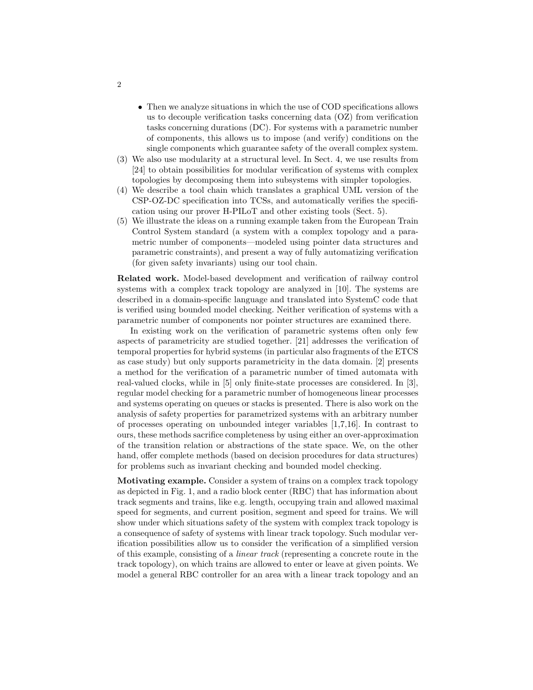- Then we analyze situations in which the use of COD specifications allows us to decouple verification tasks concerning data (OZ) from verification tasks concerning durations (DC). For systems with a parametric number of components, this allows us to impose (and verify) conditions on the single components which guarantee safety of the overall complex system.
- (3) We also use modularity at a structural level. In Sect. [4,](#page-12-0) we use results from [\[24\]](#page-16-0) to obtain possibilities for modular verification of systems with complex topologies by decomposing them into subsystems with simpler topologies.
- (4) We describe a tool chain which translates a graphical UML version of the CSP-OZ-DC specification into TCSs, and automatically verifies the specification using our prover H-PILoT and other existing tools (Sect. [5\)](#page-13-0).
- (5) We illustrate the ideas on a running example taken from the European Train Control System standard (a system with a complex topology and a parametric number of components—modeled using pointer data structures and parametric constraints), and present a way of fully automatizing verification (for given safety invariants) using our tool chain.

Related work. Model-based development and verification of railway control systems with a complex track topology are analyzed in [\[10\]](#page-16-1). The systems are described in a domain-specific language and translated into SystemC code that is verified using bounded model checking. Neither verification of systems with a parametric number of components nor pointer structures are examined there.

In existing work on the verification of parametric systems often only few aspects of parametricity are studied together. [\[21\]](#page-16-2) addresses the verification of temporal properties for hybrid systems (in particular also fragments of the ETCS as case study) but only supports parametricity in the data domain. [\[2\]](#page-15-0) presents a method for the verification of a parametric number of timed automata with real-valued clocks, while in [\[5\]](#page-15-1) only finite-state processes are considered. In [\[3\]](#page-15-2), regular model checking for a parametric number of homogeneous linear processes and systems operating on queues or stacks is presented. There is also work on the analysis of safety properties for parametrized systems with an arbitrary number of processes operating on unbounded integer variables  $[1,7,16]$  $[1,7,16]$  $[1,7,16]$ . In contrast to ours, these methods sacrifice completeness by using either an over-approximation of the transition relation or abstractions of the state space. We, on the other hand, offer complete methods (based on decision procedures for data structures) for problems such as invariant checking and bounded model checking.

Motivating example. Consider a system of trains on a complex track topology as depicted in Fig. [1,](#page-3-1) and a radio block center (RBC) that has information about track segments and trains, like e.g. length, occupying train and allowed maximal speed for segments, and current position, segment and speed for trains. We will show under which situations safety of the system with complex track topology is a consequence of safety of systems with linear track topology. Such modular verification possibilities allow us to consider the verification of a simplified version of this example, consisting of a *linear track* (representing a concrete route in the track topology), on which trains are allowed to enter or leave at given points. We model a general RBC controller for an area with a linear track topology and an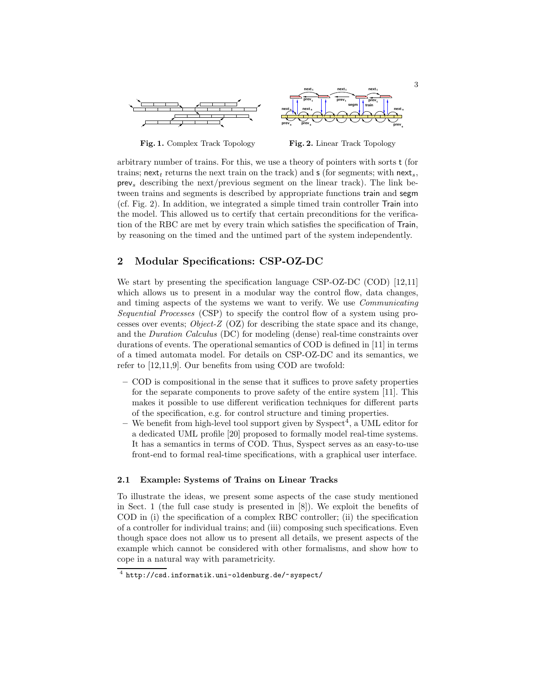



<span id="page-3-1"></span>Fig. 1. Complex Track Topology

<span id="page-3-2"></span>Fig. 2. Linear Track Topology

arbitrary number of trains. For this, we use a theory of pointers with sorts t (for trains; next, returns the next train on the track) and  $s$  (for segments; with next,  $prev<sub>s</sub>$  describing the next/previous segment on the linear track). The link between trains and segments is described by appropriate functions train and segm (cf. Fig. [2\)](#page-3-2). In addition, we integrated a simple timed train controller Train into the model. This allowed us to certify that certain preconditions for the verification of the RBC are met by every train which satisfies the specification of Train, by reasoning on the timed and the untimed part of the system independently.

## <span id="page-3-0"></span>2 Modular Specifications: CSP-OZ-DC

We start by presenting the specification language CSP-OZ-DC (COD) [\[12,](#page-16-4)[11\]](#page-16-5) which allows us to present in a modular way the control flow, data changes, and timing aspects of the systems we want to verify. We use *Communicating Sequential Processes* (CSP) to specify the control flow of a system using processes over events; *Object-Z* (OZ) for describing the state space and its change, and the *Duration Calculus* (DC) for modeling (dense) real-time constraints over durations of events. The operational semantics of COD is defined in [\[11\]](#page-16-5) in terms of a timed automata model. For details on CSP-OZ-DC and its semantics, we refer to [\[12](#page-16-4)[,11](#page-16-5)[,9\]](#page-16-6). Our benefits from using COD are twofold:

- COD is compositional in the sense that it suffices to prove safety properties for the separate components to prove safety of the entire system [\[11\]](#page-16-5). This makes it possible to use different verification techniques for different parts of the specification, e.g. for control structure and timing properties.
- $-$  We benefit from high-level tool support given by Syspect<sup>[4](#page-3-3)</sup>, a UML editor for a dedicated UML profile [\[20\]](#page-16-7) proposed to formally model real-time systems. It has a semantics in terms of COD. Thus, Syspect serves as an easy-to-use front-end to formal real-time specifications, with a graphical user interface.

#### <span id="page-3-4"></span>2.1 Example: Systems of Trains on Linear Tracks

To illustrate the ideas, we present some aspects of the case study mentioned in Sect. [1](#page-1-0) (the full case study is presented in [\[8\]](#page-16-8)). We exploit the benefits of COD in (i) the specification of a complex RBC controller; (ii) the specification of a controller for individual trains; and (iii) composing such specifications. Even though space does not allow us to present all details, we present aspects of the example which cannot be considered with other formalisms, and show how to cope in a natural way with parametricity.

<span id="page-3-3"></span><sup>4</sup> <http://csd.informatik.uni-oldenburg.de/~syspect/>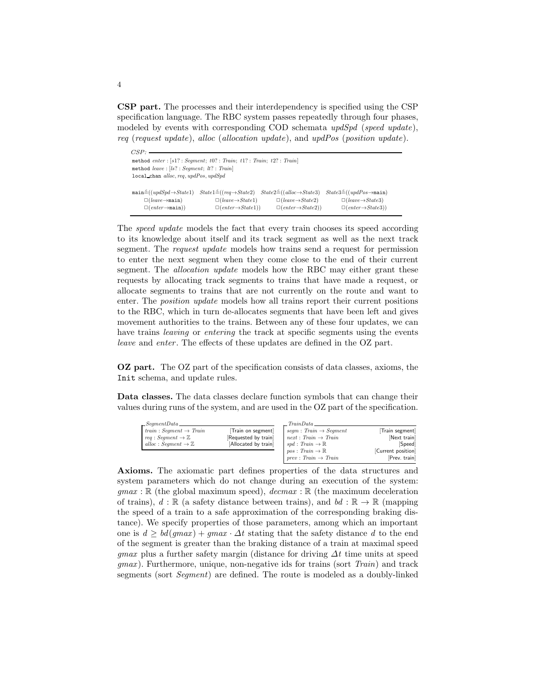CSP part. The processes and their interdependency is specified using the CSP specification language. The RBC system passes repeatedly through four phases, modeled by events with corresponding COD schemata *updSpd* (*speed update*), *req* (*request update*), *alloc* (*allocation update*), and *updPos* (*position update*).

| $CSP-$                              |                                               |                                                                        |                                                   |  |  |  |  |
|-------------------------------------|-----------------------------------------------|------------------------------------------------------------------------|---------------------------------------------------|--|--|--|--|
|                                     |                                               | method $enter: [s1? : Segment; t0? : Train; t1? : Train; t2? : Train]$ |                                                   |  |  |  |  |
|                                     | method leave: [ls?: Segment; $lt?$ : Train]   |                                                                        |                                                   |  |  |  |  |
|                                     | local_chan alloc, req, updPos, updSpd         |                                                                        |                                                   |  |  |  |  |
|                                     |                                               |                                                                        |                                                   |  |  |  |  |
| $main=((updSpd \rightarrow State1)$ | $State1 \triangleq ((req \rightarrow State2)$ | $State2\overset{c}=(\text{(alloc}\rightarrow State3)$                  | $State3\overset{c}{=}((updPos \rightarrow main))$ |  |  |  |  |
| $\Box$ (leave $\rightarrow$ main)   | $\Box$ (leave $\rightarrow$ State1)           | $\Box$ (leave $\rightarrow$ State2)                                    | $\Box$ (leave $\rightarrow$ State3)               |  |  |  |  |
| $\Box$ (enter- $\rightarrow$ main)) | $\Box$ (enter $\rightarrow$ State1))          | $\Box$ (enter $\rightarrow$ State2))                                   | $\Box$ (enter $\rightarrow$ State3))              |  |  |  |  |

The *speed update* models the fact that every train chooses its speed according to its knowledge about itself and its track segment as well as the next track segment. The *request update* models how trains send a request for permission to enter the next segment when they come close to the end of their current segment. The *allocation update* models how the RBC may either grant these requests by allocating track segments to trains that have made a request, or allocate segments to trains that are not currently on the route and want to enter. The *position update* models how all trains report their current positions to the RBC, which in turn de-allocates segments that have been left and gives movement authorities to the trains. Between any of these four updates, we can have trains *leaving* or *entering* the track at specific segments using the events *leave* and *enter* . The effects of these updates are defined in the OZ part.

OZ part. The OZ part of the specification consists of data classes, axioms, the Init schema, and update rules.

Data classes. The data classes declare function symbols that can change their values during runs of the system, and are used in the OZ part of the specification.

| $- SegmentData$                         |                      | TrainData                           |                    |
|-----------------------------------------|----------------------|-------------------------------------|--------------------|
| $train : Segment \rightarrow Train$     | Train on segment     | $seqm: Train \rightarrow Segment$   | [Train segment]    |
| $req: Segment \rightarrow \mathbb{Z}$   | [Requested by train] | $next: Train \rightarrow Train$     | [Next train]       |
| alloc: Seqment $\rightarrow \mathbb{Z}$ | [Allocated by train] | $spd: Train \rightarrow \mathbb{R}$ | [Speed]            |
|                                         |                      | $pos: Train \rightarrow \mathbb{R}$ | [Current position] |
|                                         |                      | $prev: Train \rightarrow Train$     | [Prev. train]      |

Axioms. The axiomatic part defines properties of the data structures and system parameters which do not change during an execution of the system:  $gmax: \mathbb{R}$  (the global maximum speed),  $decmax: \mathbb{R}$  (the maximum deceleration of trains),  $d : \mathbb{R}$  (a safety distance between trains), and  $bd : \mathbb{R} \to \mathbb{R}$  (mapping the speed of a train to a safe approximation of the corresponding braking distance). We specify properties of those parameters, among which an important one is  $d > bd(qmax) + qmax \cdot \Delta t$  stating that the safety distance d to the end of the segment is greater than the braking distance of a train at maximal speed *gmax* plus a further safety margin (distance for driving ∆*t* time units at speed *gmax* ). Furthermore, unique, non-negative ids for trains (sort *Train*) and track segments (sort *Segment*) are defined. The route is modeled as a doubly-linked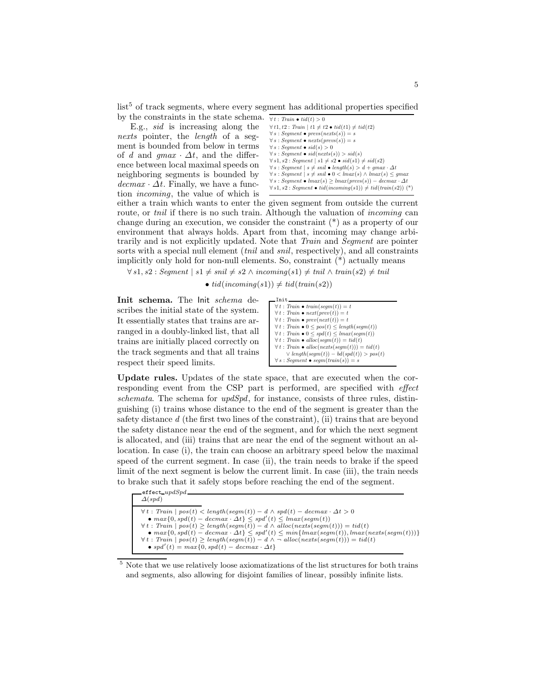$list<sup>5</sup>$  $list<sup>5</sup>$  $list<sup>5</sup>$  of track segments, where every segment has additional properties specified by the constraints in the state schema.  $\overline{v_t}$  : *Train* • *tid*(*t*) > 0

 $∀ t1, t2$ : *Train*  $| t1 ≠ t2 \cdot tid(t1) ≠ tid(t2)$  $\forall s : Segment \bullet pres(nexts(s)) = s$  $\forall s : Segment \bullet nexts(prevs(s)) = s$  $∀ s : Segment \bullet sid(s) > 0$ ∀ *s* : *Segment* • *sid*(*nexts*(*s*)) > *sid*(*s*)  $\forall s1, s2 : Segment \mid s1 \neq s2 \bullet sid(s1) \neq sid(s2)$  $∀ s : Segment \mid s ≠ snil \bullet length(s) > d + gmax \cdot \Delta t$  $\forall s : Segment \mid s \neq snil \bullet 0 < lmax(s) \land lmax(s) \leq gmax$ ∀ *s* : *Segment* • *lmax* (*s*) ≥ *lmax* (*prevs*(*s*)) − *decmax* · ∆*t*  $\forall s1, s2 : Segment \bullet tid(incoming(s1)) \neq tid(train(s2))$ <sup>\*</sup>) E.g., *sid* is increasing along the *nexts* pointer, the *length* of a segment is bounded from below in terms of *d* and  $gmax \cdot \Delta t$ , and the difference between local maximal speeds on neighboring segments is bounded by  $decmax \cdot \Delta t$ . Finally, we have a function *incoming*, the value of which is either a train which wants to enter the given segment from outside the current route, or *tnil* if there is no such train. Although the valuation of *incoming* can change during an execution, we consider the constraint (\*) as a property of our environment that always holds. Apart from that, incoming may change arbitrarily and is not explicitly updated. Note that *Train* and *Segment* are pointer sorts with a special null element (*tnil* and *snil*, respectively), and all constraints implicitly only hold for non-null elements. So, constraint (\*) actually means

 $\forall s1, s2 : Segment \mid s1 \neq snil \neq s2 \land incoming(s1) \neq tril \land train(s2) \neq tril$ 

•  $tid(incoming(s1)) \neq tid(train(s2))$ 

Init schema. The Init *schema* describes the initial state of the system. It essentially states that trains are arranged in a doubly-linked list, that all trains are initially placed correctly on the track segments and that all trains respect their speed limits.

Init  $\forall t : Train \bullet train(segm(t)) = t$  $\forall t : Train \bullet next(prev(t)) = t$  $\forall t : Train \bullet prev(next(t)) = t$ ∀ *t* : *Train* • 0 ≤ *pos*(*t*) ≤ *length*(*segm*(*t*)) ∀ *t* : *Train* • 0 ≤ *spd*(*t*) ≤ *lmax* (*segm*(*t*)) ∀ *t* : *Train* • *alloc*(*segm*(*t*)) = *tid*(*t*) ∀ *t* : *Train* • *alloc*(*nexts*(*segm*(*t*))) = *tid*(*t*) ∨ *length*(*segm*(*t*)) − *bd*(*spd*(*t*)) > *pos*(*t*)  $\forall s : Segment \bullet \, segment(s)) = s$ 

Update rules. Updates of the state space, that are executed when the corresponding event from the CSP part is performed, are specified with *effect schemata*. The schema for *updSpd*, for instance, consists of three rules, distinguishing (i) trains whose distance to the end of the segment is greater than the safety distance *d* (the first two lines of the constraint), (ii) trains that are beyond the safety distance near the end of the segment, and for which the next segment is allocated, and (iii) trains that are near the end of the segment without an allocation. In case (i), the train can choose an arbitrary speed below the maximal speed of the current segment. In case (ii), the train needs to brake if the speed limit of the next segment is below the current limit. In case (iii), the train needs to brake such that it safely stops before reaching the end of the segment.

| $\rule{1em}{0.15mm} \begin{picture}(18,10) \put(0,0){\dashbox{0.5}(10,0){ }} \thicklines \put(0,0){\dashbox{0.5}(10,0){ }} \thicklines \put(0,0){\dashbox{0.5}(10,0){ }} \thicklines \put(0,0){\dashbox{0.5}(10,0){ }} \thicklines \put(0,0){\dashbox{0.5}(10,0){ }} \thicklines \put(0,0){\dashbox{0.5}(10,0){ }} \thicklines \put(0,0){\dashbox{0.5}(10,0){ }} \thicklines \put(0,0){\dashbox{0.5}(10,0){ }} \$<br>$\Delta(spd)$                                                                                                                         |
|------------------------------------------------------------------------------------------------------------------------------------------------------------------------------------------------------------------------------------------------------------------------------------------------------------------------------------------------------------------------------------------------------------------------------------------------------------------------------------------------------------------------------------------------------------|
| $\forall t : Train \mid pos(t) < length(segm(t)) - d \land spd(t) - decmax \cdot \Delta t > 0$<br>• $max{0, spd(t) - decmax \cdot \Delta t} \leq spd'(t) \leq lmax(segm(t))$<br>$\forall t : Train \mid pos(t) \ge length(segm(t)) - d \land allocate(segm(t))) = tid(t)$<br>• $max\{0, spd(t) - decmax \cdot \Delta t\} \leq spd'(t) \leq min\{max(seqm(t)), lmax(next(seqm(t)))\}$<br>$\forall t : Train \mid pos(t) \ge length(seqm(t)) - d \land \neg \text{alloc}(nexts(segm(t))) = tid(t)$<br>• $spd'(t) = max\{0, spd(t) - decmax \cdot \Delta t\}$ |
|                                                                                                                                                                                                                                                                                                                                                                                                                                                                                                                                                            |

<span id="page-5-0"></span><sup>5</sup> Note that we use relatively loose axiomatizations of the list structures for both trains and segments, also allowing for disjoint families of linear, possibly infinite lists.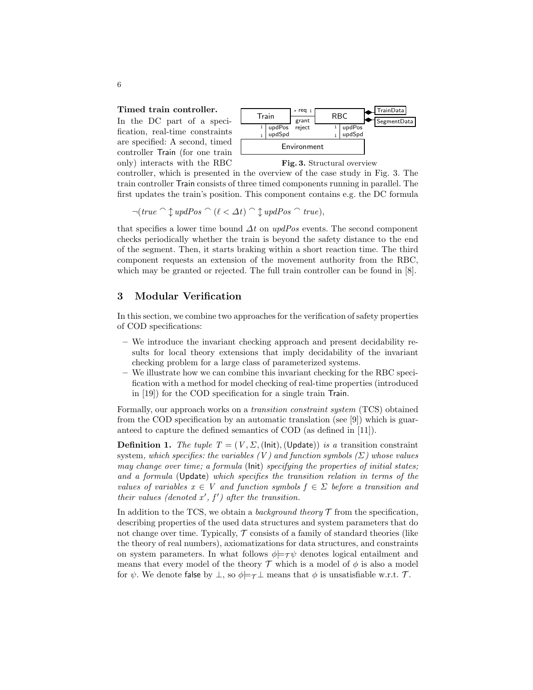#### Timed train controller.

In the DC part of a specification, real-time constraints are specified: A second, timed controller Train (for one train only) interacts with the RBC



<span id="page-6-1"></span>Fig. 3. Structural overview

controller, which is presented in the overview of the case study in Fig. [3.](#page-6-1) The train controller Train consists of three timed components running in parallel. The first updates the train's position. This component contains e.g. the DC formula

 $\neg (true \cap \downarrow updPos \cap (\ell < \Delta t) \cap \downarrow updPos \cap true),$ 

that specifies a lower time bound  $\Delta t$  on  $\mu p dPos$  events. The second component checks periodically whether the train is beyond the safety distance to the end of the segment. Then, it starts braking within a short reaction time. The third component requests an extension of the movement authority from the RBC, which may be granted or rejected. The full train controller can be found in  $[8]$ .

#### <span id="page-6-0"></span>3 Modular Verification

In this section, we combine two approaches for the verification of safety properties of COD specifications:

- We introduce the invariant checking approach and present decidability results for local theory extensions that imply decidability of the invariant checking problem for a large class of parameterized systems.
- We illustrate how we can combine this invariant checking for the RBC specification with a method for model checking of real-time properties (introduced in [\[19\]](#page-16-9)) for the COD specification for a single train Train.

Formally, our approach works on a *transition constraint system* (TCS) obtained from the COD specification by an automatic translation (see [\[9\]](#page-16-6)) which is guaranteed to capture the defined semantics of COD (as defined in [\[11\]](#page-16-5)).

**Definition 1.** *The tuple*  $T = (V, \Sigma, (Init), (Update))$  *is a transition constraint* system*, which specifies: the variables (V ) and function symbols (*Σ*) whose values may change over time; a formula* (Init) *specifying the properties of initial states; and a formula* (Update) *which specifies the transition relation in terms of the values of variables*  $x \in V$  *and function symbols*  $f \in \Sigma$  *before a transition and their values (denoted*  $x'$ *,*  $f'$ *) after the transition.* 

In addition to the TCS, we obtain a *background theory*  $\mathcal T$  from the specification, describing properties of the used data structures and system parameters that do not change over time. Typically,  $\mathcal T$  consists of a family of standard theories (like the theory of real numbers), axiomatizations for data structures, and constraints on system parameters. In what follows  $\phi = \tau \psi$  denotes logical entailment and means that every model of the theory  $\mathcal T$  which is a model of  $\phi$  is also a model for  $\psi$ . We denote false by  $\bot$ , so  $\phi \models \tau \bot$  means that  $\phi$  is unsatisfiable w.r.t.  $\mathcal{T}$ .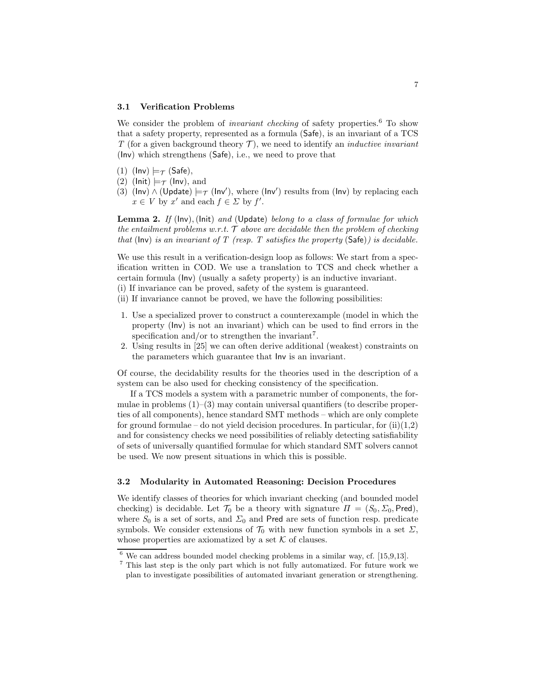#### <span id="page-7-2"></span>3.1 Verification Problems

We consider the problem of *invariant checking* of safety properties.<sup>[6](#page-7-0)</sup> To show that a safety property, represented as a formula (Safe), is an invariant of a TCS *T* (for a given background theory  $\mathcal{T}$ ), we need to identify an *inductive invariant* (Inv) which strengthens (Safe), i.e., we need to prove that

- (1) (Inv)  $\models$   $\tau$  (Safe),
- (2) (lnit)  $\models$   $\tau$  (lnv), and
- (3) (lnv)  $\wedge$  (Update)  $\models_{\mathcal{T}}$  (lnv'), where (lnv') results from (lnv) by replacing each  $x \in V$  by  $x'$  and each  $f \in \Sigma$  by  $f'$ .

Lemma 2. *If* (Inv),(Init) *and* (Update) *belong to a class of formulae for which the entailment problems w.r.t.* T *above are decidable then the problem of checking that* (Inv) *is an invariant of T (resp. T satisfies the property* (Safe)*) is decidable.*

We use this result in a verification-design loop as follows: We start from a specification written in COD. We use a translation to TCS and check whether a certain formula (Inv) (usually a safety property) is an inductive invariant.

- (i) If invariance can be proved, safety of the system is guaranteed.
- (ii) If invariance cannot be proved, we have the following possibilities:
- 1. Use a specialized prover to construct a counterexample (model in which the property (Inv) is not an invariant) which can be used to find errors in the specification and/or to strengthen the invariant<sup>[7](#page-7-1)</sup>.
- 2. Using results in [\[25\]](#page-16-10) we can often derive additional (weakest) constraints on the parameters which guarantee that Inv is an invariant.

Of course, the decidability results for the theories used in the description of a system can be also used for checking consistency of the specification.

If a TCS models a system with a parametric number of components, the formulae in problems  $(1)$ – $(3)$  may contain universal quantifiers (to describe properties of all components), hence standard SMT methods – which are only complete for ground formulae – do not yield decision procedures. In particular, for  $(ii)(1,2)$ and for consistency checks we need possibilities of reliably detecting satisfiability of sets of universally quantified formulae for which standard SMT solvers cannot be used. We now present situations in which this is possible.

#### <span id="page-7-3"></span>3.2 Modularity in Automated Reasoning: Decision Procedures

We identify classes of theories for which invariant checking (and bounded model checking) is decidable. Let  $\mathcal{T}_0$  be a theory with signature  $\Pi = (S_0, \Sigma_0, \text{Pred})$ , where  $S_0$  is a set of sorts, and  $\Sigma_0$  and Pred are sets of function resp. predicate symbols. We consider extensions of  $\mathcal{T}_0$  with new function symbols in a set  $\Sigma$ , whose properties are axiomatized by a set  $K$  of clauses.

 $6$  We can address bounded model checking problems in a similar way, cf. [\[15](#page-16-11)[,9](#page-16-6)[,13\]](#page-16-12).

<span id="page-7-1"></span><span id="page-7-0"></span><sup>7</sup> This last step is the only part which is not fully automatized. For future work we plan to investigate possibilities of automated invariant generation or strengthening.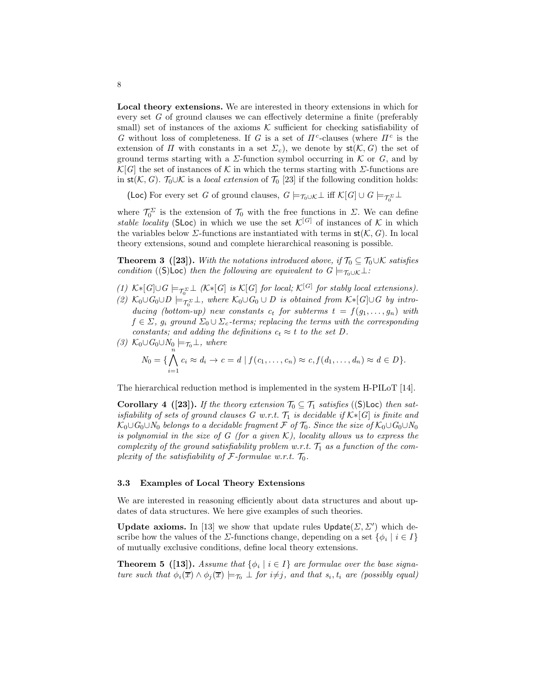Local theory extensions. We are interested in theory extensions in which for every set *G* of ground clauses we can effectively determine a finite (preferably small) set of instances of the axioms  $K$  sufficient for checking satisfiability of *G* without loss of completeness. If *G* is a set of  $\Pi^c$ -clauses (where  $\Pi^c$  is the extension of  $\Pi$  with constants in a set  $\Sigma_c$ , we denote by  $\mathsf{st}(\mathcal{K}, G)$  the set of ground terms starting with a  $\Sigma$ -function symbol occurring in  $K$  or  $G$ , and by  $\mathcal{K}[G]$  the set of instances of  $\mathcal K$  in which the terms starting with  $\Sigma$ -functions are in  $st(\mathcal{K}, G)$ .  $\mathcal{T}_0 \cup \mathcal{K}$  is a *local extension* of  $\mathcal{T}_0$  [\[23\]](#page-16-13) if the following condition holds:

<span id="page-8-1"></span>(Loc) For every set *G* of ground clauses,  $G \models_{\mathcal{T}_0 \cup \mathcal{K}} \bot$  iff  $\mathcal{K}[G] \cup G \models_{\mathcal{T}_0^{\Sigma}} \bot$ 

where  $\mathcal{T}_0^{\Sigma}$  is the extension of  $\mathcal{T}_0$  with the free functions in  $\Sigma$ . We can define *stable locality* (SLoc) in which we use the set  $\mathcal{K}^{[G]}$  of instances of K in which the variables below  $\Sigma$ -functions are instantiated with terms in  $\mathsf{st}(\mathcal{K}, G)$ . In local theory extensions, sound and complete hierarchical reasoning is possible.

**Theorem 3** ([\[23\]](#page-16-13)). *With the notations introduced above, if*  $\mathcal{T}_0 \subseteq \mathcal{T}_0 \cup \mathcal{K}$  *satisfies condition* ((S)Loc) *then the following are equivalent to G*  $\models_{\mathcal{T}_0\cup\mathcal{K}}\bot$ *:* 

- *(1)*  $\mathcal{K}$  ∗[*G*]∪*G*  $\models$ <sub> $\mathcal{T}^{\Sigma}_{0}$  ⊥  $(\mathcal{K}$  ∗[*G*] *is*  $\mathcal{K}[G]$  *for local;*  $\mathcal{K}^{[G]}$  *for stably local extensions*).</sub>
- $(2)$  K<sub>0</sub>∪*G*<sub>0</sub>∪*D*  $\models$ <sup>*T*<sub>*G*</sub><sup>*C*</sup><sub>*L*</sub>, where K<sub>0</sub>∪*G*<sub>0</sub>∪*D* is obtained from K\*[*G*]∪*G* by intro-</sup> *ducing (bottom-up) new constants*  $c_t$  *<i>for subterms t* =  $f(g_1, \ldots, g_n)$  *with*  $f \in \Sigma$ ,  $g_i$  ground  $\Sigma_0 \cup \Sigma_c$ -terms; replacing the terms with the corresponding *constants; and adding the definitions*  $c_t \approx t$  *to the set D. (3)*  $K_0 \cup G_0 \cup N_0 \models \tau_0 \bot$ *, where*

<span id="page-8-2"></span>
$$
N_0 = \{ \bigwedge_{i=1}^n c_i \approx d_i \rightarrow c = d \mid f(c_1, \ldots, c_n) \approx c, f(d_1, \ldots, d_n) \approx d \in D \}.
$$

The hierarchical reduction method is implemented in the system H-PILoT [\[14\]](#page-16-14).

Corollary 4 ([\[23\]](#page-16-13)). *If the theory extension*  $\mathcal{T}_0 \subseteq \mathcal{T}_1$  *satisfies* ((S)Loc) *then satisfiability of sets of ground clauses G w.r.t.*  $\mathcal{T}_1$  *is decidable if*  $\mathcal{K} \ast [G]$  *is finite and*  $\mathcal{K}_0 \cup G_0 \cup N_0$  *belongs to a decidable fragment*  $\mathcal{F}$  *of*  $\mathcal{T}_0$ *. Since the size of*  $\mathcal{K}_0 \cup G_0 \cup N_0$ *is polynomial in the size of G (for a given* K*), locality allows us to express the complexity of the ground satisfiability problem w.r.t.*  $\mathcal{T}_1$  *as a function of the complexity of the satisfiability of*  $F$ *-formulae w.r.t.*  $T_0$ *.* 

#### <span id="page-8-3"></span>3.3 Examples of Local Theory Extensions

We are interested in reasoning efficiently about data structures and about updates of data structures. We here give examples of such theories.

Update axioms. In [\[13\]](#page-16-12) we show that update rules Update( $\Sigma$ ,  $\Sigma'$ ) which describe how the values of the *Σ*-functions change, depending on a set  $\{\phi_i \mid i \in I\}$ of mutually exclusive conditions, define local theory extensions.

<span id="page-8-0"></span>**Theorem 5** ([\[13\]](#page-16-12)). Assume that  $\{\phi_i \mid i \in I\}$  are formulae over the base signa*ture such that*  $\phi_i(\overline{x}) \wedge \phi_j(\overline{x}) \models_{\mathcal{T}_0} \bot$  *for*  $i \neq j$ *, and that*  $s_i, t_i$  *are (possibly equal)*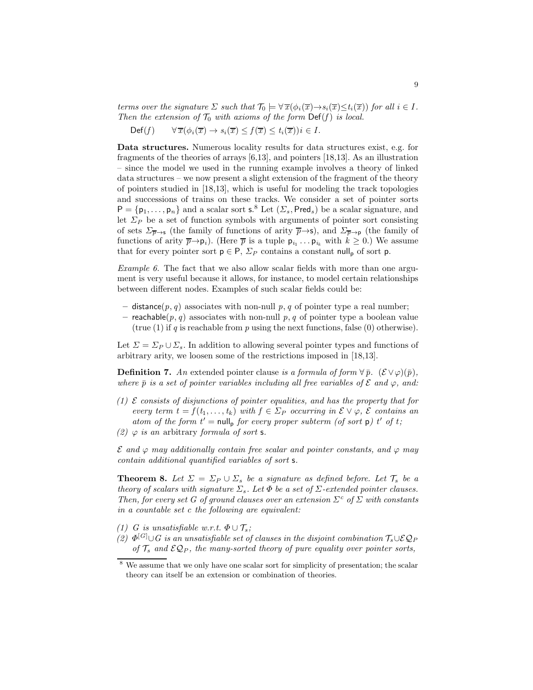*terms over the signature*  $\Sigma$  *such that*  $\mathcal{T}_0 \models \forall \overline{x}(\phi_i(\overline{x}) \rightarrow s_i(\overline{x}) \leq t_i(\overline{x}))$  *for all i*  $\in I$ *. Then the extension of*  $\mathcal{T}_0$  *with axioms of the form*  $\text{Def}(f)$  *is local.* 

$$
\mathsf{Def}(f) \qquad \forall \overline{x}(\phi_i(\overline{x}) \to s_i(\overline{x}) \le f(\overline{x}) \le t_i(\overline{x})) i \in I.
$$

Data structures. Numerous locality results for data structures exist, e.g. for fragments of the theories of arrays [\[6](#page-15-5)[,13\]](#page-16-12), and pointers [\[18,](#page-16-15)[13\]](#page-16-12). As an illustration – since the model we used in the running example involves a theory of linked data structures – we now present a slight extension of the fragment of the theory of pointers studied in [\[18,](#page-16-15)[13\]](#page-16-12), which is useful for modeling the track topologies and successions of trains on these tracks. We consider a set of pointer sorts  $P = \{p_1, \ldots, p_n\}$  and a scalar sort s.<sup>[8](#page-9-0)</sup> Let  $(\Sigma_s, Pred_s)$  be a scalar signature, and let  $\Sigma_P$  be a set of function symbols with arguments of pointer sort consisting of sets  $\Sigma_{\overline{p}\to s}$  (the family of functions of arity  $\overline{p}\to s$ ), and  $\Sigma_{\overline{p}\to p}$  (the family of functions of arity  $\overline{p} \rightarrow p_i$ ). (Here  $\overline{p}$  is a tuple  $p_{i_1} \dots p_{i_k}$  with  $k \geq 0$ .) We assume that for every pointer sort  $p \in P$ ,  $\Sigma_P$  contains a constant null<sub>p</sub> of sort p.

*Example 6.* The fact that we also allow scalar fields with more than one argument is very useful because it allows, for instance, to model certain relationships between different nodes. Examples of such scalar fields could be:

- $-$  distance( $p, q$ ) associates with non-null  $p, q$  of pointer type a real number;
- reachable( $p, q$ ) associates with non-null  $p, q$  of pointer type a boolean value (true (1) if  $q$  is reachable from  $p$  using the next functions, false (0) otherwise).

Let  $\Sigma = \Sigma_P \cup \Sigma_s$ . In addition to allowing several pointer types and functions of arbitrary arity, we loosen some of the restrictions imposed in [\[18,](#page-16-15)[13\]](#page-16-12).

**Definition 7.** An extended pointer clause *is a formula of form*  $\forall \bar{p}$ *,* ( $\mathcal{E} \lor \varphi$ )( $\bar{p}$ )*, where*  $\bar{p}$  *is a set of pointer variables including all free variables of*  $\mathcal{E}$  *and*  $\varphi$ *, and:* 

- *(1)* E *consists of disjunctions of pointer equalities, and has the property that for every term t* =  $f(t_1, \ldots, t_k)$  *with*  $f \in \Sigma_P$  *occurring in*  $\mathcal{E} \vee \varphi$ ,  $\mathcal{E}$  *contains an atom of the form t'* = null<sub>p</sub> *for every proper subterm (of sort* p) *t' of t*;
- $(2)$   $\varphi$  *is an arbitrary formula of sort* **s**.

 $\mathcal E$  and  $\varphi$  *may additionally contain free scalar and pointer constants, and*  $\varphi$  *may contain additional quantified variables of sort* s*.*

**Theorem 8.** Let  $\Sigma = \Sigma_P \cup \Sigma_s$  be a signature as defined before. Let  $\mathcal{T}_s$  be a *theory of scalars with signature*  $\Sigma_s$ . Let  $\Phi$  *be a set of*  $\Sigma$ -extended pointer clauses. *Then, for every set G of ground clauses over an extension*  $\Sigma^c$  *of*  $\Sigma$  *with constants in a countable set c the following are equivalent:*

- *(1) G* is unsatisfiable w.r.t.  $\Phi \cup \mathcal{T}_s$ ;
- *(2)*  $\Phi^{[G]}$ ∪*G* is an unsatisfiable set of clauses in the disjoint combination  $\mathcal{T}_s \cup \mathcal{EQ}_P$ *of*  $\mathcal{T}_s$  *and*  $\mathcal{EQ}_P$ *, the many-sorted theory of pure equality over pointer sorts,*

<span id="page-9-0"></span><sup>&</sup>lt;sup>8</sup> We assume that we only have one scalar sort for simplicity of presentation; the scalar theory can itself be an extension or combination of theories.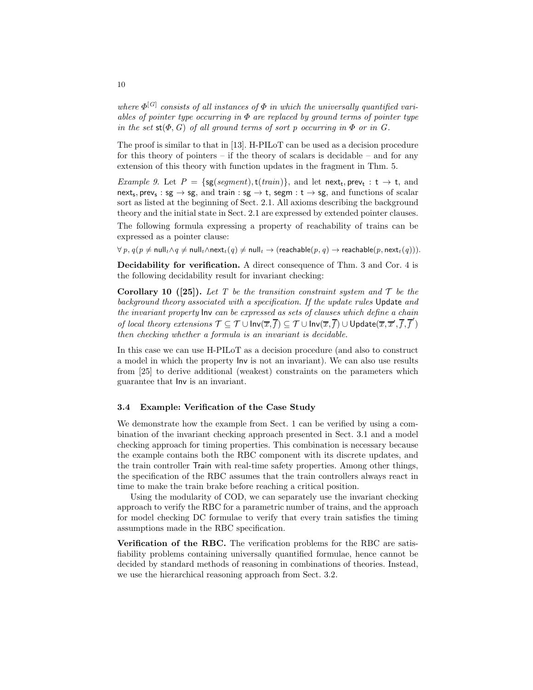where  $\Phi^{[G]}$  consists of all instances of  $\Phi$  in which the universally quantified vari*ables of pointer type occurring in* Φ *are replaced by ground terms of pointer type in the set*  $\mathsf{st}(\Phi, G)$  *of all ground terms of sort p occurring in*  $\Phi$  *or in G.* 

The proof is similar to that in [\[13\]](#page-16-12). H-PILoT can be used as a decision procedure for this theory of pointers – if the theory of scalars is decidable – and for any extension of this theory with function updates in the fragment in Thm. [5.](#page-8-0)

*Example 9.* Let  $P = \{ \text{sg}(segment), \text{t}(train) \}$ , and let next<sub>t</sub>, prev<sub>t</sub>:  $\text{t} \rightarrow \text{t}$ , and  ${\sf next}_{\sf s}, {\sf prev}_{\sf s}: {\sf sg} \to {\sf sg}, \text{ and } {\sf train}: {\sf sg} \to {\sf t}, \text{segm}: {\sf t} \to {\sf sg}, \text{ and } {\sf functions} \text{ of scalar}$ sort as listed at the beginning of Sect. [2.1.](#page-3-4) All axioms describing the background theory and the initial state in Sect. [2.1](#page-3-4) are expressed by extended pointer clauses. The following formula expressing a property of reachability of trains can be expressed as a pointer clause:

 $\forall p, q(p \neq \text{null}_t \land q \neq \text{null}_t \land \text{next}_t(q) \neq \text{null}_t \rightarrow (\text{reachable}(p, q) \rightarrow \text{reachable}(p, \text{next}_t(q))).$ 

<span id="page-10-0"></span>Decidability for verification. A direct consequence of Thm. [3](#page-8-1) and Cor. [4](#page-8-2) is the following decidability result for invariant checking:

**Corollary 10** ([\[25\]](#page-16-10)). Let T be the transition constraint system and  $\mathcal{T}$  be the *background theory associated with a specification. If the update rules* Update *and the invariant property* Inv *can be expressed as sets of clauses which define a chain*  $\sigma f$  *local theory extensions*  $\mathcal{T} \subseteq \mathcal{T} \cup \text{Inv}(\overline{x}, \overline{f}) \subseteq \mathcal{T} \cup \text{Inv}(\overline{x}, \overline{f}) \cup \text{Update}(\overline{x}, \overline{x}', \overline{f}, \overline{f}')$ *then checking whether a formula is an invariant is decidable.*

In this case we can use H-PILoT as a decision procedure (and also to construct a model in which the property Inv is not an invariant). We can also use results from [\[25\]](#page-16-10) to derive additional (weakest) constraints on the parameters which guarantee that Inv is an invariant.

#### 3.4 Example: Verification of the Case Study

We demonstrate how the example from Sect. [1](#page-1-0) can be verified by using a combination of the invariant checking approach presented in Sect. [3.1](#page-7-2) and a model checking approach for timing properties. This combination is necessary because the example contains both the RBC component with its discrete updates, and the train controller Train with real-time safety properties. Among other things, the specification of the RBC assumes that the train controllers always react in time to make the train brake before reaching a critical position.

Using the modularity of COD, we can separately use the invariant checking approach to verify the RBC for a parametric number of trains, and the approach for model checking DC formulae to verify that every train satisfies the timing assumptions made in the RBC specification.

Verification of the RBC. The verification problems for the RBC are satisfiability problems containing universally quantified formulae, hence cannot be decided by standard methods of reasoning in combinations of theories. Instead, we use the hierarchical reasoning approach from Sect. [3.2.](#page-7-3)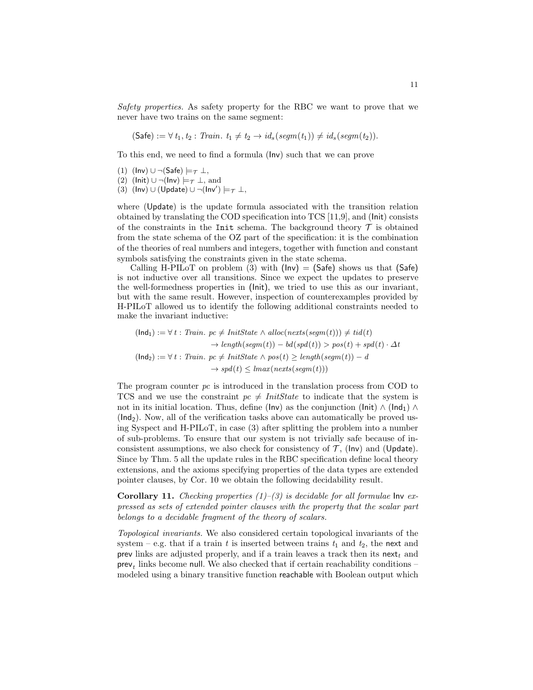*Safety properties.* As safety property for the RBC we want to prove that we never have two trains on the same segment:

 $(Safe) := \forall t_1, t_2 : Train. t_1 \neq t_2 \rightarrow id_s (seqm(t_1)) \neq id_s (seqm(t_2)).$ 

To this end, we need to find a formula (Inv) such that we can prove

- (1) (Inv)  $\cup \neg$  (Safe)  $\models \tau \bot$ ,
- (2) (Init)  $\cup \neg$ (Inv)  $\models \tau \bot$ , and
- $(3)$  (Inv) ∪ (Update) ∪ ¬(Inv')  $\models$   $\tau \perp$ ,

where (Update) is the update formula associated with the transition relation obtained by translating the COD specification into TCS [\[11,](#page-16-5)[9\]](#page-16-6), and (Init) consists of the constraints in the Init schema. The background theory  $\mathcal T$  is obtained from the state schema of the OZ part of the specification: it is the combination of the theories of real numbers and integers, together with function and constant symbols satisfying the constraints given in the state schema.

Calling H-PILoT on problem (3) with  $(\text{Inv}) = (\text{Safe})$  shows us that  $(\text{Safe})$ is not inductive over all transitions. Since we expect the updates to preserve the well-formedness properties in (Init), we tried to use this as our invariant, but with the same result. However, inspection of counterexamples provided by H-PILoT allowed us to identify the following additional constraints needed to make the invariant inductive:

 $(\text{Ind}_1) := \forall t : Train. pc \neq InitState \land alloc(nexts(seqm(t))) \neq tid(t)$  $\rightarrow$  length(segm(t)) – bd(spd(t)) > pos(t) + spd(t)  $\cdot \Delta t$  $(Ind_2) := \forall t : Train. pc \neq InitState \land pos(t) \geq length(segm(t)) - d$  $\rightarrow spd(t) \leq lmax(nexts(segm(t)))$ 

The program counter *pc* is introduced in the translation process from COD to TCS and we use the constraint  $pc \neq \text{InitState}$  to indicate that the system is not in its initial location. Thus, define (lnv) as the conjunction (lnit)  $\wedge$  (lnd<sub>1</sub>)  $\wedge$  $(Ind<sub>2</sub>)$ . Now, all of the verification tasks above can automatically be proved using Syspect and H-PILoT, in case (3) after splitting the problem into a number of sub-problems. To ensure that our system is not trivially safe because of inconsistent assumptions, we also check for consistency of  $\mathcal{T}$ , (lnv) and (Update). Since by Thm. [5](#page-8-0) all the update rules in the RBC specification define local theory extensions, and the axioms specifying properties of the data types are extended pointer clauses, by Cor. [10](#page-10-0) we obtain the following decidability result.

Corollary 11. *Checking properties (1)–(3) is decidable for all formulae* Inv *expressed as sets of extended pointer clauses with the property that the scalar part belongs to a decidable fragment of the theory of scalars.*

*Topological invariants.* We also considered certain topological invariants of the system – e.g. that if a train *t* is inserted between trains  $t_1$  and  $t_2$ , the next and prev links are adjusted properly, and if a train leaves a track then its next<sub>t</sub> and  $\mathsf{prev}_t$  links become null. We also checked that if certain reachability conditions – modeled using a binary transitive function reachable with Boolean output which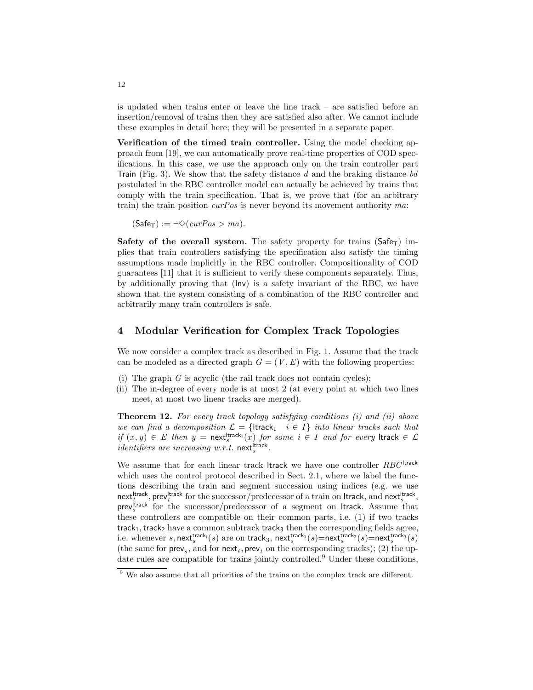is updated when trains enter or leave the line track – are satisfied before an insertion/removal of trains then they are satisfied also after. We cannot include these examples in detail here; they will be presented in a separate paper.

Verification of the timed train controller. Using the model checking approach from [\[19\]](#page-16-9), we can automatically prove real-time properties of COD specifications. In this case, we use the approach only on the train controller part Train (Fig. [3\)](#page-6-1). We show that the safety distance *d* and the braking distance *bd* postulated in the RBC controller model can actually be achieved by trains that comply with the train specification. That is, we prove that (for an arbitrary train) the train position *curPos* is never beyond its movement authority *ma*:

 $(Safe<sub>T</sub>) := \neg \Diamond (curPos > ma).$ 

Safety of the overall system. The safety property for trains  $(Safe_T)$  implies that train controllers satisfying the specification also satisfy the timing assumptions made implicitly in the RBC controller. Compositionality of COD guarantees [\[11\]](#page-16-5) that it is sufficient to verify these components separately. Thus, by additionally proving that (Inv) is a safety invariant of the RBC, we have shown that the system consisting of a combination of the RBC controller and arbitrarily many train controllers is safe.

#### <span id="page-12-0"></span>4 Modular Verification for Complex Track Topologies

We now consider a complex track as described in Fig. [1.](#page-3-1) Assume that the track can be modeled as a directed graph  $G = (V, E)$  with the following properties:

- (i) The graph *G* is acyclic (the rail track does not contain cycles);
- (ii) The in-degree of every node is at most 2 (at every point at which two lines meet, at most two linear tracks are merged).

Theorem 12. *For every track topology satisfying conditions (i) and (ii) above we can find a decomposition*  $\mathcal{L} = \{$ **Itrack**<sub>i</sub>  $\mid i \in I$  *into linear tracks such that*  $if (x, y) \in E$  then  $y = \text{next}^{\text{ltrack}_i}_{s}(x)$  for some  $i \in I$  and for every ltrack  $\in \mathcal{L}$ *identifiers are increasing w.r.t.* next<sup>1</sup>/<sub>s</sub><sup>track</sup>.

We assume that for each linear track ltrack we have one controller *RBC*ltrack which uses the control protocol described in Sect. [2.1,](#page-3-4) where we label the functions describing the train and segment succession using indices (e.g. we use  $\text{next}^{\text{track}}_t$ , prev $^{\text{track}}_t$  for the successor/predecessor of a train on ltrack, and  $\text{next}^{\text{track}}_s$ ,  $prev_s^{track}$  for the successor/predecessor of a segment on ltrack. Assume that these controllers are compatible on their common parts, i.e. (1) if two tracks track<sub>1</sub>, track<sub>2</sub> have a common subtrack track<sub>3</sub> then the corresponding fields agree, i.e. whenever  $s$ ,  $\mathsf{next}_{s}^{\mathsf{track}_i}(s)$  are on  $\mathsf{track}_3$ ,  $\mathsf{next}_{s}^{\mathsf{track}_1}(s) = \mathsf{next}_{s}^{\mathsf{track}_2}(s) = \mathsf{next}_{s}^{\mathsf{track}_3}(s)$ (the same for  $\mathsf{prev}_s$ , and for  $\mathsf{next}_t$ ,  $\mathsf{prev}_t$  on the corresponding tracks); (2) the up-date rules are compatible for trains jointly controlled.<sup>[9](#page-12-1)</sup> Under these conditions,

<span id="page-12-1"></span><sup>&</sup>lt;sup>9</sup> We also assume that all priorities of the trains on the complex track are different.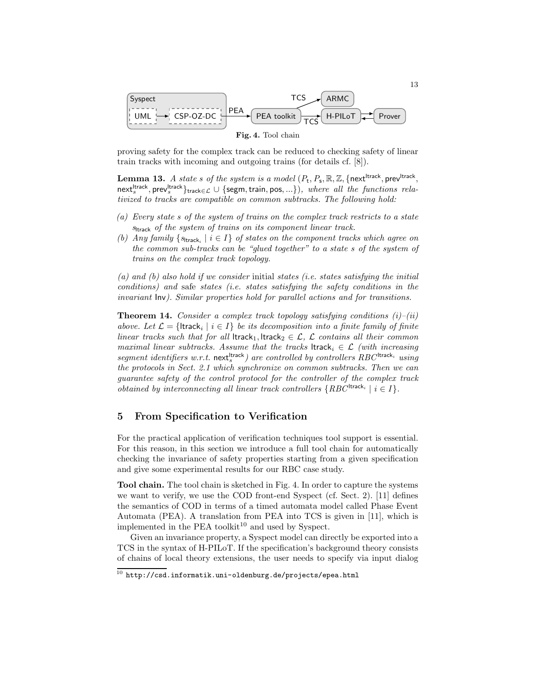

<span id="page-13-1"></span>proving safety for the complex track can be reduced to checking safety of linear train tracks with incoming and outgoing trains (for details cf. [\[8\]](#page-16-8)).

**Lemma 13.** *A state s of the system is a model*  $(P_t, P_s, \mathbb{R}, \mathbb{Z}, \{\text{next}^\text{track}, \text{prev}^\text{track}, \}$ next<sup>1</sup>track, prev<sup>1</sup>track<sub>3</sub> track∈L ∪ {segm, train, pos, ...}), where all the functions rela*tivized to tracks are compatible on common subtracks. The following hold:*

- *(a) Every state s of the system of trains on the complex track restricts to a state s*ltrack *of the system of trains on its component linear track.*
- *(b)* Any family  $\{s_{\text{track}_i} \mid i \in I\}$  of states on the component tracks which agree on *the common sub-tracks can be "glued together" to a state s of the system of trains on the complex track topology.*

*(a) and (b) also hold if we consider* initial *states (i.e. states satisfying the initial conditions) and* safe *states (i.e. states satisfying the safety conditions in the invariant* Inv*). Similar properties hold for parallel actions and for transitions.*

Theorem 14. *Consider a complex track topology satisfying conditions (i)–(ii) above.* Let  $\mathcal{L} = \{$ **Itrack**<sub>i</sub>  $\mid i \in I\}$  *be its decomposition into a finite family of finite linear tracks such that for all*  $\text{trace}_1, \text{trace}_2 \in \mathcal{L}, \mathcal{L}$  *contains all their common maximal linear subtracks. Assume that the tracks* ltrack<sub>i</sub>  $\in \mathcal{L}$  *(with increasing* segment identifiers  $w.r.t.$   $next_s^{\text{track}}$ ) are controlled by controllers  $RBC^{\text{track}_i}$  *using the protocols in Sect. [2.1](#page-3-4) which synchronize on common subtracks. Then we can guarantee safety of the control protocol for the controller of the complex track obtained by interconnecting all linear track controllers*  $\{RBC^{ltrack_i} \mid i \in I\}$ .

### <span id="page-13-0"></span>5 From Specification to Verification

For the practical application of verification techniques tool support is essential. For this reason, in this section we introduce a full tool chain for automatically checking the invariance of safety properties starting from a given specification and give some experimental results for our RBC case study.

Tool chain. The tool chain is sketched in Fig. [4.](#page-13-1) In order to capture the systems we want to verify, we use the COD front-end Syspect (cf. Sect. [2\)](#page-3-0). [\[11\]](#page-16-5) defines the semantics of COD in terms of a timed automata model called Phase Event Automata (PEA). A translation from PEA into TCS is given in [\[11\]](#page-16-5), which is implemented in the PEA toolkit<sup>[10](#page-13-2)</sup> and used by Syspect.

Given an invariance property, a Syspect model can directly be exported into a TCS in the syntax of H-PILoT. If the specification's background theory consists of chains of local theory extensions, the user needs to specify via input dialog

<span id="page-13-2"></span> $^{10}$  <http://csd.informatik.uni-oldenburg.de/projects/epea.html>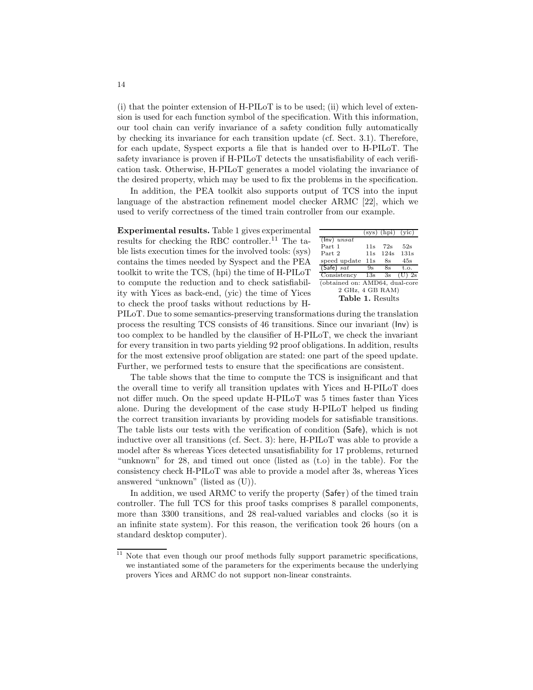(i) that the pointer extension of H-PILoT is to be used; (ii) which level of extension is used for each function symbol of the specification. With this information, our tool chain can verify invariance of a safety condition fully automatically by checking its invariance for each transition update (cf. Sect. [3.1\)](#page-7-2). Therefore, for each update, Syspect exports a file that is handed over to H-PILoT. The safety invariance is proven if H-PILoT detects the unsatisfiability of each verification task. Otherwise, H-PILoT generates a model violating the invariance of the desired property, which may be used to fix the problems in the specification.

In addition, the PEA toolkit also supports output of TCS into the input language of the abstraction refinement model checker ARMC [\[22\]](#page-16-16), which we used to verify correctness of the timed train controller from our example.

Experimental results. Table [1](#page-14-0) gives experimental results for checking the RBC controller.<sup>[11](#page-14-1)</sup> The table lists execution times for the involved tools: (sys) contains the times needed by Syspect and the PEA toolkit to write the TCS, (hpi) the time of H-PILoT to compute the reduction and to check satisfiability with Yices as back-end, (yic) the time of Yices to check the proof tasks without reductions by H-

<span id="page-14-0"></span>

|                                |     | $(sys)$ (hpi) $(yic)$ |      |  |  |
|--------------------------------|-----|-----------------------|------|--|--|
| $(\mathsf{Inv})$ unsat         |     |                       |      |  |  |
| Part 1                         | 11s | 72s                   | 52s  |  |  |
| Part 2                         | 11s | 124s                  | 131s |  |  |
| speed update                   | 11s | 8s                    | 45s  |  |  |
| (Safe) sat                     | 9s  | 8s                    | t.o. |  |  |
| Consistency                    | 13s | 3s                    | 2s   |  |  |
| (obtained on: AMD64, dual-core |     |                       |      |  |  |
| 2 GHz, 4 GB RAM)               |     |                       |      |  |  |
| <b>Table 1. Results</b>        |     |                       |      |  |  |

PILoT. Due to some semantics-preserving transformations during the translation process the resulting TCS consists of 46 transitions. Since our invariant (Inv) is too complex to be handled by the clausifier of H-PILoT, we check the invariant for every transition in two parts yielding 92 proof obligations. In addition, results for the most extensive proof obligation are stated: one part of the speed update. Further, we performed tests to ensure that the specifications are consistent.

The table shows that the time to compute the TCS is insignificant and that the overall time to verify all transition updates with Yices and H-PILoT does not differ much. On the speed update H-PILoT was 5 times faster than Yices alone. During the development of the case study H-PILoT helped us finding the correct transition invariants by providing models for satisfiable transitions. The table lists our tests with the verification of condition (Safe), which is not inductive over all transitions (cf. Sect. [3\)](#page-6-0): here, H-PILoT was able to provide a model after 8s whereas Yices detected unsatisfiability for 17 problems, returned "unknown" for 28, and timed out once (listed as (t.o) in the table). For the consistency check H-PILoT was able to provide a model after 3s, whereas Yices answered "unknown" (listed as (U)).

In addition, we used ARMC to verify the property  $(Safe<sub>T</sub>)$  of the timed train controller. The full TCS for this proof tasks comprises 8 parallel components, more than 3300 transitions, and 28 real-valued variables and clocks (so it is an infinite state system). For this reason, the verification took 26 hours (on a standard desktop computer).

<span id="page-14-1"></span> $11$  Note that even though our proof methods fully support parametric specifications, we instantiated some of the parameters for the experiments because the underlying provers Yices and ARMC do not support non-linear constraints.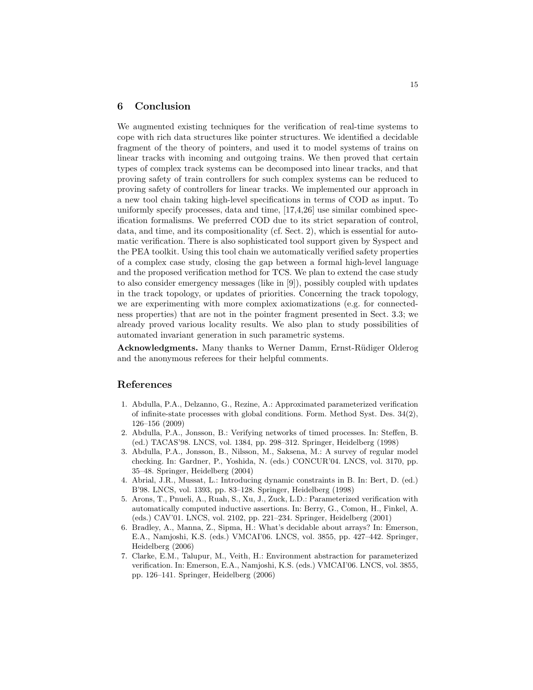### 6 Conclusion

We augmented existing techniques for the verification of real-time systems to cope with rich data structures like pointer structures. We identified a decidable fragment of the theory of pointers, and used it to model systems of trains on linear tracks with incoming and outgoing trains. We then proved that certain types of complex track systems can be decomposed into linear tracks, and that proving safety of train controllers for such complex systems can be reduced to proving safety of controllers for linear tracks. We implemented our approach in a new tool chain taking high-level specifications in terms of COD as input. To uniformly specify processes, data and time, [\[17](#page-16-17)[,4,](#page-15-6)[26\]](#page-16-18) use similar combined specification formalisms. We preferred COD due to its strict separation of control, data, and time, and its compositionality (cf. Sect. [2\)](#page-3-0), which is essential for automatic verification. There is also sophisticated tool support given by Syspect and the PEA toolkit. Using this tool chain we automatically verified safety properties of a complex case study, closing the gap between a formal high-level language and the proposed verification method for TCS. We plan to extend the case study to also consider emergency messages (like in [\[9\]](#page-16-6)), possibly coupled with updates in the track topology, or updates of priorities. Concerning the track topology, we are experimenting with more complex axiomatizations (e.g. for connectedness properties) that are not in the pointer fragment presented in Sect. [3.3;](#page-8-3) we already proved various locality results. We also plan to study possibilities of automated invariant generation in such parametric systems.

Acknowledgments. Many thanks to Werner Damm, Ernst-Rüdiger Olderog and the anonymous referees for their helpful comments.

### <span id="page-15-3"></span>References

- 1. Abdulla, P.A., Delzanno, G., Rezine, A.: Approximated parameterized verification of infinite-state processes with global conditions. Form. Method Syst. Des. 34(2), 126–156 (2009)
- <span id="page-15-0"></span>2. Abdulla, P.A., Jonsson, B.: Verifying networks of timed processes. In: Steffen, B. (ed.) TACAS'98. LNCS, vol. 1384, pp. 298–312. Springer, Heidelberg (1998)
- <span id="page-15-2"></span>3. Abdulla, P.A., Jonsson, B., Nilsson, M., Saksena, M.: A survey of regular model checking. In: Gardner, P., Yoshida, N. (eds.) CONCUR'04. LNCS, vol. 3170, pp. 35–48. Springer, Heidelberg (2004)
- <span id="page-15-6"></span>4. Abrial, J.R., Mussat, L.: Introducing dynamic constraints in B. In: Bert, D. (ed.) B'98. LNCS, vol. 1393, pp. 83–128. Springer, Heidelberg (1998)
- <span id="page-15-1"></span>5. Arons, T., Pnueli, A., Ruah, S., Xu, J., Zuck, L.D.: Parameterized verification with automatically computed inductive assertions. In: Berry, G., Comon, H., Finkel, A. (eds.) CAV'01. LNCS, vol. 2102, pp. 221–234. Springer, Heidelberg (2001)
- <span id="page-15-5"></span>6. Bradley, A., Manna, Z., Sipma, H.: What's decidable about arrays? In: Emerson, E.A., Namjoshi, K.S. (eds.) VMCAI'06. LNCS, vol. 3855, pp. 427–442. Springer, Heidelberg (2006)
- <span id="page-15-4"></span>7. Clarke, E.M., Talupur, M., Veith, H.: Environment abstraction for parameterized verification. In: Emerson, E.A., Namjoshi, K.S. (eds.) VMCAI'06. LNCS, vol. 3855, pp. 126–141. Springer, Heidelberg (2006)